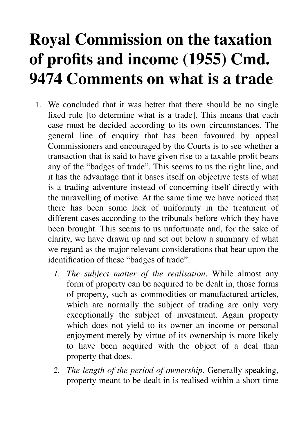## **Royal Commission on the taxation of profits and income (1955) Cmd. 9474 Comments on what is a trade**

- 1. We concluded that it was better that there should be no single fixed rule [to determine what is a trade]. This means that each case must be decided according to its own circumstances. The general line of enquiry that has been favoured by appeal Commissioners and encouraged by the Courts is to see whether a transaction that is said to have given rise to a taxable profit bears any of the "badges of trade". This seems to us the right line, and it has the advantage that it bases itself on objective tests of what is a trading adventure instead of concerning itself directly with the unravelling of motive. At the same time we have noticed that there has been some lack of uniformity in the treatment of different cases according to the tribunals before which they have been brought. This seems to us unfortunate and, for the sake of clarity, we have drawn up and set out below a summary of what we regard as the major relevant considerations that bear upon the identification of these "badges of trade".
	- *1. The subject matter of the realisation*. While almost any form of property can be acquired to be dealt in, those forms of property, such as commodities or manufactured articles, which are normally the subject of trading are only very exceptionally the subject of investment. Again property which does not yield to its owner an income or personal enjoyment merely by virtue of its ownership is more likely to have been acquired with the object of a deal than property that does.
	- *2. The length of the period of ownership*. Generally speaking, property meant to be dealt in is realised within a short time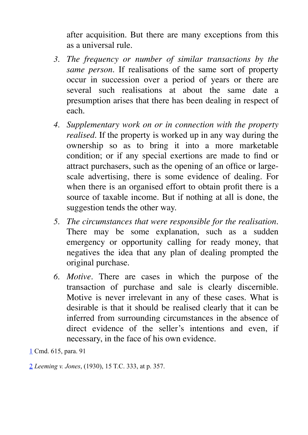after acquisition. But there are many exceptions from this as a universal rule.

- *3. The frequency or number of similar transactions by the same person*. If realisations of the same sort of property occur in succession over a period of years or there are several such realisations at about the same date a presumption arises that there has been dealing in respect of each.
- *4. Supplementary work on or in connection with the property realised*. If the property is worked up in any way during the ownership so as to bring it into a more marketable condition; or if any special exertions are made to find or attract purchasers, such as the opening of an office or largescale advertising, there is some evidence of dealing. For when there is an organised effort to obtain profit there is a source of taxable income. But if nothing at all is done, the suggestion tends the other way.
- *5. The circumstances that were responsible for the realisation*. There may be some explanation, such as a sudden emergency or opportunity calling for ready money, that negatives the idea that any plan of dealing prompted the original purchase.
- *6. Motive*. There are cases in which the purpose of the transaction of purchase and sale is clearly discernible. Motive is never irrelevant in any of these cases. What is desirable is that it should be realised clearly that it can be inferred from surrounding circumstances in the absence of direct evidence of the seller's intentions and even, if necessary, in the face of his own evidence.

1 Cmd. 615, para. 91

2 *Leeming v. Jones*, (1930), 15 T.C. 333, at p. 357.